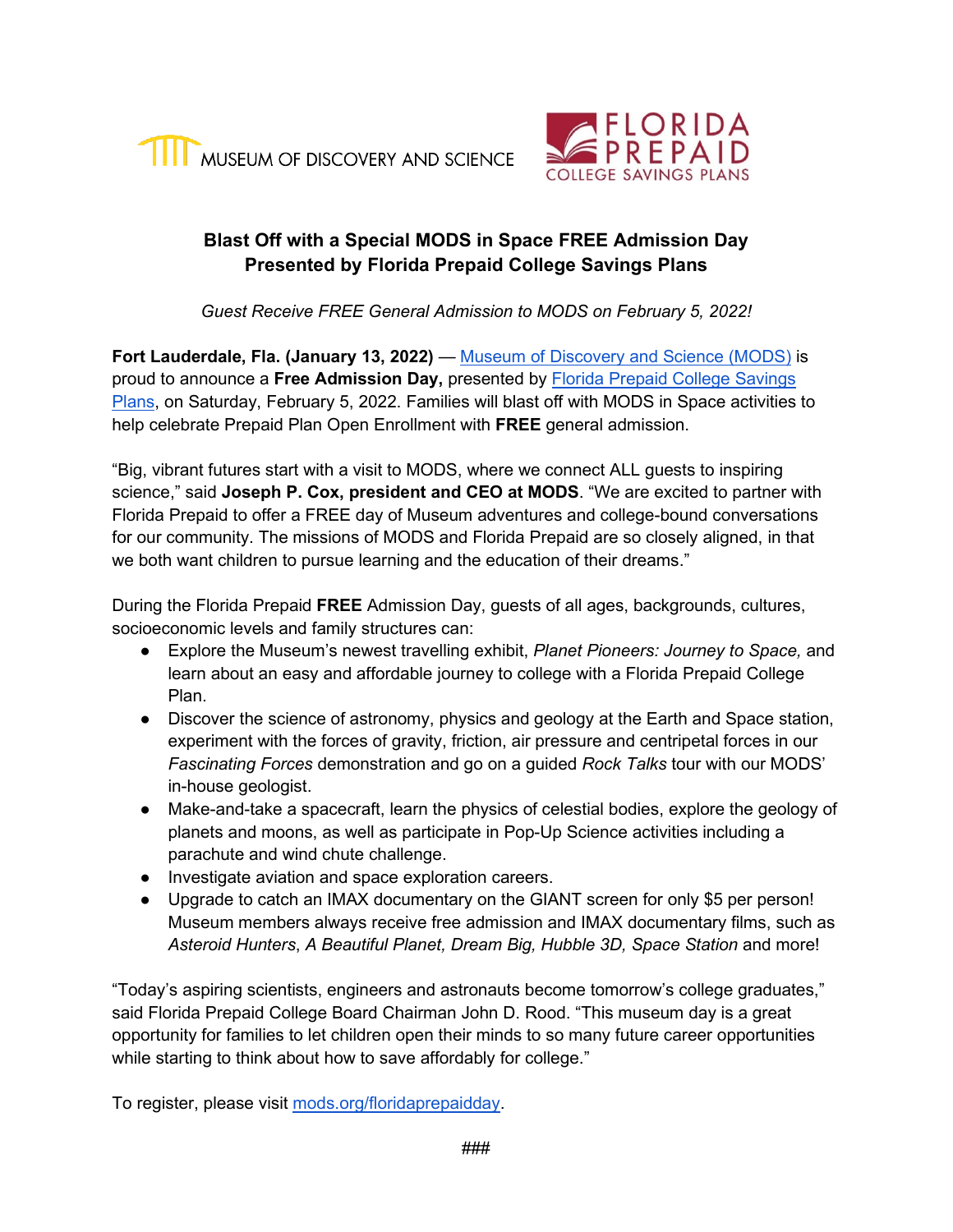



## **Blast Off with a Special MODS in Space FREE Admission Day Presented by Florida Prepaid College Savings Plans**

*Guest Receive FREE General Admission to MODS on February 5, 2022!* 

**Fort Lauderdale, Fla. (January 13, 2022) — [Museum of Discovery and Science \(MODS\)](http://mods.org/) is** proud to announce a **Free Admission Day,** presented by [Florida Prepaid College Savings](http://myfloridaprepaid.com/)  [Plans,](http://myfloridaprepaid.com/) on Saturday, February 5, 2022. Families will blast off with MODS in Space activities to help celebrate Prepaid Plan Open Enrollment with **FREE** general admission.

"Big, vibrant futures start with a visit to MODS, where we connect ALL guests to inspiring science," said **Joseph P. Cox, president and CEO at MODS**. "We are excited to partner with Florida Prepaid to offer a FREE day of Museum adventures and college-bound conversations for our community. The missions of MODS and Florida Prepaid are so closely aligned, in that we both want children to pursue learning and the education of their dreams."

During the Florida Prepaid **FREE** Admission Day, guests of all ages, backgrounds, cultures, socioeconomic levels and family structures can:

- Explore the Museum's newest travelling exhibit, *Planet Pioneers: Journey to Space,* and learn about an easy and affordable journey to college with a Florida Prepaid College Plan.
- Discover the science of astronomy, physics and geology at the Earth and Space station, experiment with the forces of gravity, friction, air pressure and centripetal forces in our *Fascinating Forces* demonstration and go on a guided *Rock Talks* tour with our MODS' in-house geologist.
- Make-and-take a spacecraft, learn the physics of celestial bodies, explore the geology of planets and moons, as well as participate in Pop-Up Science activities including a parachute and wind chute challenge.
- Investigate aviation and space exploration careers.
- Upgrade to catch an IMAX documentary on the GIANT screen for only \$5 per person! Museum members always receive free admission and IMAX documentary films, such as *Asteroid Hunters*, *A Beautiful Planet, Dream Big, Hubble 3D, Space Station* and more!

"Today's aspiring scientists, engineers and astronauts become tomorrow's college graduates," said Florida Prepaid College Board Chairman John D. Rood. "This museum day is a great opportunity for families to let children open their minds to so many future career opportunities while starting to think about how to save affordably for college."

To register, please visit [mods.org/floridaprepaidday.](http://mods.org/floridaprepaidday)